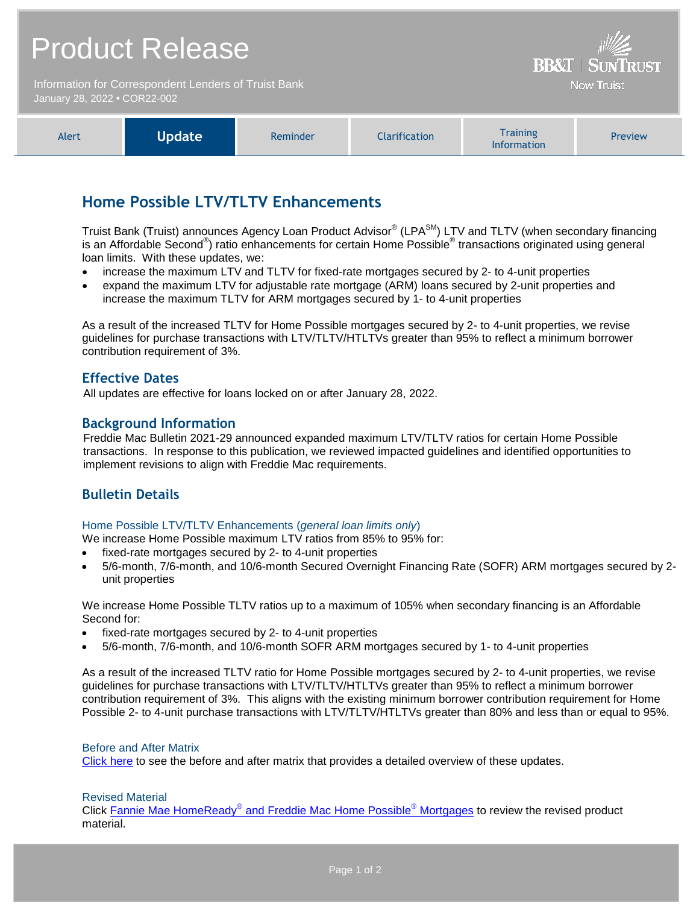|                                                                                      | <b>Product Release</b> | <b>BB&amp;T   SUNTRUST</b> |               |                                       |         |
|--------------------------------------------------------------------------------------|------------------------|----------------------------|---------------|---------------------------------------|---------|
| Information for Correspondent Lenders of Truist Bank<br>January 28, 2022 . COR22-002 |                        |                            |               | <b>Now Truist</b>                     |         |
| Alert                                                                                | <b>Update</b>          | Reminder                   | Clarification | <b>Training</b><br><b>Information</b> | Preview |

# **Home Possible LTV/TLTV Enhancements**

Truist Bank (Truist) announces Agency Loan Product Advisor® (LPA<sup>SM</sup>) LTV and TLTV (when secondary financing is an Affordable Second®) ratio enhancements for certain Home Possible® transactions originated using general loan limits. With these updates, we:

- increase the maximum LTV and TLTV for fixed-rate mortgages secured by 2- to 4-unit properties
- expand the maximum LTV for adjustable rate mortgage (ARM) loans secured by 2-unit properties and increase the maximum TLTV for ARM mortgages secured by 1- to 4-unit properties

As a result of the increased TLTV for Home Possible mortgages secured by 2- to 4-unit properties, we revise guidelines for purchase transactions with LTV/TLTV/HTLTVs greater than 95% to reflect a minimum borrower contribution requirement of 3%.

## **Effective Dates**

All updates are effective for loans locked on or after January 28, 2022.

## **Background Information**

Freddie Mac Bulletin 2021-29 announced expanded maximum LTV/TLTV ratios for certain Home Possible transactions. In response to this publication, we reviewed impacted guidelines and identified opportunities to implement revisions to align with Freddie Mac requirements.

# **Bulletin Details**

#### Home Possible LTV/TLTV Enhancements (*general loan limits only*)

We increase Home Possible maximum LTV ratios from 85% to 95% for:

- fixed-rate mortgages secured by 2- to 4-unit properties
- 5/6-month, 7/6-month, and 10/6-month Secured Overnight Financing Rate (SOFR) ARM mortgages secured by 2 unit properties

We increase Home Possible TLTV ratios up to a maximum of 105% when secondary financing is an Affordable Second for:

- fixed-rate mortgages secured by 2- to 4-unit properties
- 5/6-month, 7/6-month, and 10/6-month SOFR ARM mortgages secured by 1- to 4-unit properties

As a result of the increased TLTV ratio for Home Possible mortgages secured by 2- to 4-unit properties, we revise guidelines for purchase transactions with LTV/TLTV/HTLTVs greater than 95% to reflect a minimum borrower contribution requirement of 3%. This aligns with the existing minimum borrower contribution requirement for Home Possible 2- to 4-unit purchase transactions with LTV/TLTV/HTLTVs greater than 80% and less than or equal to 95%.

#### Before and After Matrix

[Click here](http://www.truistsellerguide.com/manual/cor/products/Cr22-002BA.pdf) to see the before and after matrix that provides a detailed overview of these updates.

#### Revised Material

Click Fannie Mae HomeReady® [and Freddie Mac Home Possible](https://www.truistsellerguide.com/Manual/cor/products/CHomeReadyandHomePossible.pdf)<sup>®</sup> Mortgages to review the revised product material.